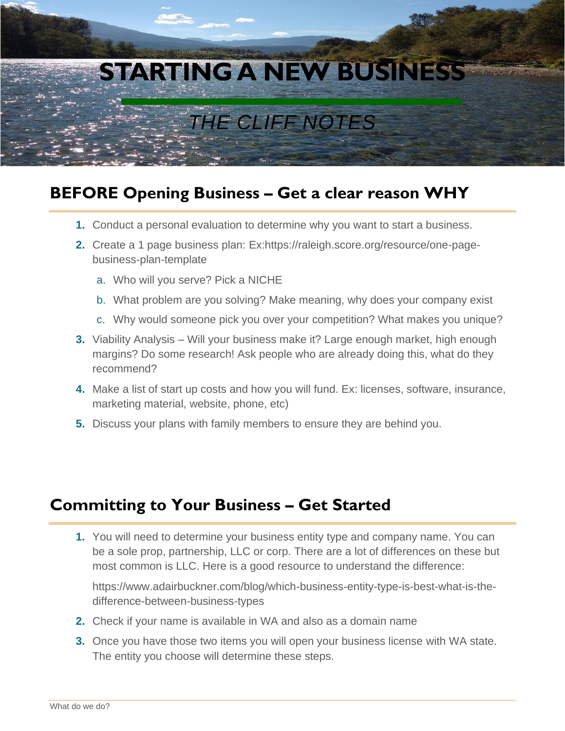

## **BEFORE Opening Business – Get a clear reason WHY**

- **1.** Conduct a personal evaluation to determine why you want to start a business.
- **2.** Create a 1 page business plan: Ex:https://raleigh.score.org/resource/one-pagebusiness-plan-template
	- a. Who will you serve? Pick a NICHE
	- b. What problem are you solving? Make meaning, why does your company exist
	- c. Why would someone pick you over your competition? What makes you unique?
- **3.** Viability Analysis Will your business make it? Large enough market, high enough margins? Do some research! Ask people who are already doing this, what do they recommend?
- **4.** Make a list of start up costs and how you will fund. Ex: licenses, software, insurance, marketing material, website, phone, etc)
- **5.** Discuss your plans with family members to ensure they are behind you.

## **Committing to Your Business – Get Started**

**1.** You will need to determine your business entity type and company name. You can be a sole prop, partnership, LLC or corp. There are a lot of differences on these but most common is LLC. Here is a good resource to understand the difference:

https://www.adairbuckner.com/blog/which-business-entity-type-is-best-what-is-thedifference-between-business-types

- **2.** Check if your name is available in WA and also as a domain name
- **3.** Once you have those two items you will open your business license with WA state. The entity you choose will determine these steps.